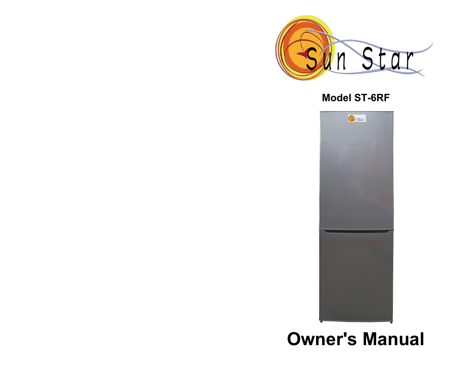

## **Model ST-6RF**



**Owner's Manual**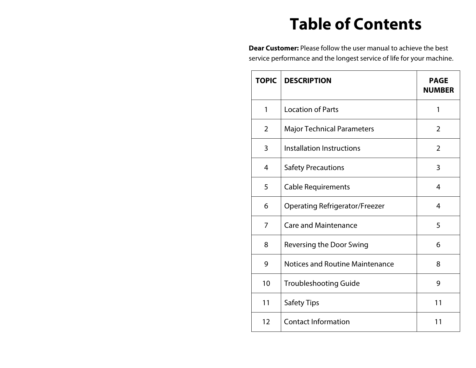# **Table of Contents**

**Dear Customer:** Please follow the user manual to achieve the best service performance and the longest service of life for your machine.

| <b>TOPIC</b>   | <b>DESCRIPTION</b>                     | <b>PAGE</b><br><b>NUMBER</b> |
|----------------|----------------------------------------|------------------------------|
| 1              | <b>Location of Parts</b>               | 1                            |
| $\overline{2}$ | <b>Major Technical Parameters</b>      | $\overline{2}$               |
| 3              | Installation Instructions              | $\overline{2}$               |
| 4              | <b>Safety Precautions</b>              | 3                            |
| 5              | <b>Cable Requirements</b>              | 4                            |
| 6              | <b>Operating Refrigerator/Freezer</b>  | 4                            |
| 7              | <b>Care and Maintenance</b>            | 5                            |
| 8              | Reversing the Door Swing               | 6                            |
| 9              | <b>Notices and Routine Maintenance</b> | 8                            |
| 10             | <b>Troubleshooting Guide</b>           | 9                            |
| 11             | <b>Safety Tips</b>                     | 11                           |
| 12             | <b>Contact Information</b>             | 11                           |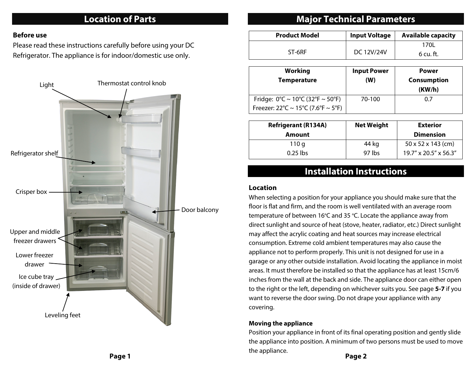### **Location of Parts**

#### **Before use**

Please read these instructions carefully before using your DC Refrigerator. The appliance is for indoor/domestic use only.



### **Major Technical Parameters**

| <b>Product Model</b> | <b>Input Voltage</b> | <b>Available capacity</b> |
|----------------------|----------------------|---------------------------|
|                      |                      | 170L                      |
| ST-6RF               | DC 12V/24V           | 6 cu. ft.                 |

| Working<br><b>Temperature</b>                                                                                                 | <b>Input Power</b><br>(W) | <b>Power</b><br><b>Consumption</b><br>(KW/h) |
|-------------------------------------------------------------------------------------------------------------------------------|---------------------------|----------------------------------------------|
| Fridge: $0^{\circ}C \sim 10^{\circ}C (32^{\circ}F \sim 50^{\circ}F)$<br>Freezer: $22^{\circ}C \sim 15^{\circ}C$ (7.6°F ~ 5°F) | 70-100                    | 0.7                                          |

| <b>Refrigerant (R134A)</b> | <b>Net Weight</b> | <b>Exterior</b>                |
|----------------------------|-------------------|--------------------------------|
| Amount                     |                   | <b>Dimension</b>               |
| 110 g                      | 44 kg             | $50 \times 52 \times 143$ (cm) |
| $0.25$ lbs                 | 97 lbs            | 19.7" x 20.5" x 56.3"          |

### **Installation Instructions**

#### **Location**

When selecting a position for your appliance you should make sure that the floor is flat and firm, and the room is well ventilated with an average room temperature of between 16°C and 35 °C. Locate the appliance away from direct sunlight and source of heat (stove, heater, radiator, etc.) Direct sunlight may affect the acrylic coating and heat sources may increase electrical consumption. Extreme cold ambient temperatures may also cause the appliance not to perform properly. This unit is not designed for use in a garage or any other outside installation. Avoid locating the appliance in moist areas. It must therefore be installed so that the appliance has at least 15cm/6 inches from the wall at the back and side. The appliance door can either open to the right or the left, depending on whichever suits you. See page **5-7** if you want to reverse the door swing. Do not drape your appliance with any covering.

#### **Moving the appliance**

Position your appliance in front of its final operating position and gently slide the appliance into position. A minimum of two persons must be used to move the appliance. **Page 1 Page 2**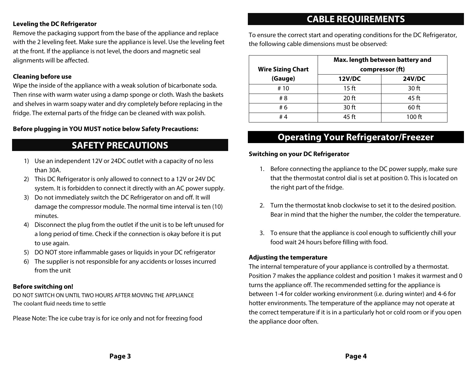#### **Leveling the DC Refrigerator**

Remove the packaging support from the base of the appliance and replace with the 2 leveling feet. Make sure the appliance is level. Use the leveling feet at the front. If the appliance is not level, the doors and magnetic seal alignments will be affected.

#### **Cleaning before use**

Wipe the inside of the appliance with a weak solution of bicarbonate soda. Then rinse with warm water using a damp sponge or cloth. Wash the baskets and shelves in warm soapy water and dry completely before replacing in the fridge. The external parts of the fridge can be cleaned with wax polish.

#### **Before plugging in YOU MUST notice below Safety Precautions:**

### **SAFETY PRECAUTIONS**

- 1) Use an independent 12V or 24DC outlet with a capacity of no less than 30A.
- 2) This DC Refrigerator is only allowed to connect to a 12V or 24V DC system. It is forbidden to connect it directly with an AC power supply.
- 3) Do not immediately switch the DC Refrigerator on and off. It will damage the compressor module. The normal time interval is ten (10) minutes.
- 4) Disconnect the plug from the outlet if the unit is to be left unused for a long period of time. Check if the connection is okay before it is put to use again.
- 5) DO NOT store inflammable gases or liquids in your DC refrigerator
- 6) The supplier is not responsible for any accidents or losses incurred from the unit

#### **Before switching on!**

DO NOT SWITCH ON UNTIL TWO HOURS AFTER MOVING THE APPLIANCE The coolant fluid needs time to settle

Please Note: The ice cube tray is for ice only and not for freezing food

### **CABLE REQUIREMENTS**

To ensure the correct start and operating conditions for the DC Refrigerator, the following cable dimensions must be observed:

|                                     | Max. length between battery and |                                  |
|-------------------------------------|---------------------------------|----------------------------------|
| <b>Wire Sizing Chart</b><br>(Gauge) | <b>12V/DC</b>                   | compressor (ft)<br><b>24V/DC</b> |
| #10                                 | 15 <sub>ft</sub>                | 30 ft                            |
| # 8                                 | 20 <sub>ft</sub>                | 45 ft                            |
| # 6                                 | 30 ft                           | $60$ ft                          |
| #4                                  | 45 ft                           | $100$ ft                         |

### **Operating Your Refrigerator/Freezer**

#### **Switching on your DC Refrigerator**

- 1. Before connecting the appliance to the DC power supply, make sure that the thermostat control dial is set at position 0. This is located on the right part of the fridge.
- 2. Turn the thermostat knob clockwise to set it to the desired position. Bear in mind that the higher the number, the colder the temperature.
- 3. To ensure that the appliance is cool enough to sufficiently chill your food wait 24 hours before filling with food.

#### **Adjusting the temperature**

The internal temperature of your appliance is controlled by a thermostat. Position 7 makes the appliance coldest and position 1 makes it warmest and 0 turns the appliance off. The recommended setting for the appliance is between 1-4 for colder working environment (i.e. during winter) and 4-6 for hotter environments. The temperature of the appliance may not operate at the correct temperature if it is in a particularly hot or cold room or if you open the appliance door often.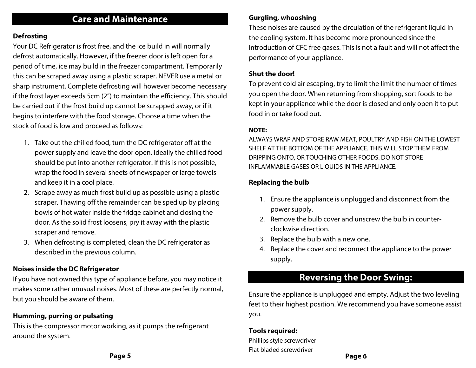### **Care and Maintenance**

#### **Defrosting**

Your DC Refrigerator is frost free, and the ice build in will normally defrost automatically. However, if the freezer door is left open for a period of time, ice may build in the freezer compartment. Temporarily this can be scraped away using a plastic scraper. NEVER use a metal or sharp instrument. Complete defrosting will however become necessary if the frost layer exceeds 5cm (2") to maintain the efficiency. This should be carried out if the frost build up cannot be scrapped away, or if it begins to interfere with the food storage. Choose a time when the stock of food is low and proceed as follows:

- 1. Take out the chilled food, turn the DC refrigerator off at the power supply and leave the door open. Ideally the chilled food should be put into another refrigerator. If this is not possible, wrap the food in several sheets of newspaper or large towels and keep it in a cool place.
- 2. Scrape away as much frost build up as possible using a plastic scraper. Thawing off the remainder can be sped up by placing bowls of hot water inside the fridge cabinet and closing the door. As the solid frost loosens, pry it away with the plastic scraper and remove.
- 3. When defrosting is completed, clean the DC refrigerator as described in the previous column.

#### **Noises inside the DC Refrigerator**

If you have not owned this type of appliance before, you may notice it makes some rather unusual noises. Most of these are perfectly normal, but you should be aware of them.

#### **Humming, purring or pulsating**

This is the compressor motor working, as it pumps the refrigerant around the system.

These noises are caused by the circulation of the refrigerant liquid in the cooling system. It has become more pronounced since the introduction of CFC free gases. This is not a fault and will not affect the performance of your appliance.

#### **Shut the door!**

To prevent cold air escaping, try to limit the limit the number of times you open the door. When returning from shopping, sort foods to be kept in your appliance while the door is closed and only open it to put food in or take food out.

#### **NOTE:**

ALWAYS WRAP AND STORE RAW MEAT, POULTRY AND FISH ON THE LOWEST SHELF AT THE BOTTOM OF THE APPLIANCE. THIS WILL STOP THEM FROM DRIPPING ONTO, OR TOUCHING OTHER FOODS. DO NOT STORE INFLAMMABLE GASES OR LIQUIDS IN THE APPLIANCE.

### **Replacing the bulb**

- 1. Ensure the appliance is unplugged and disconnect from the power supply.
- 2. Remove the bulb cover and unscrew the bulb in counterclockwise direction.
- 3. Replace the bulb with a new one.
- 4. Replace the cover and reconnect the appliance to the power supply.

### **Reversing the Door Swing:**

Ensure the appliance is unplugged and empty. Adjust the two leveling feet to their highest position. We recommend you have someone assist you.

#### **Tools required:**

Phillips style screwdriver Flat bladed screwdriver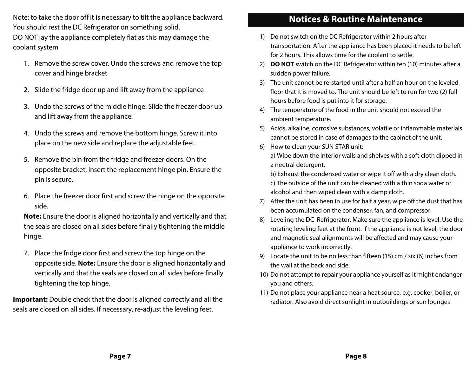Note: to take the door off it is necessary to tilt the appliance backward. You should rest the DC Refrigerator on something solid.

DO NOT lay the appliance completely flat as this may damage the coolant system

- 1. Remove the screw cover. Undo the screws and remove the top cover and hinge bracket
- 2. Slide the fridge door up and lift away from the appliance
- 3. Undo the screws of the middle hinge. Slide the freezer door up and lift away from the appliance.
- 4. Undo the screws and remove the bottom hinge. Screw it into place on the new side and replace the adjustable feet.
- 5. Remove the pin from the fridge and freezer doors. On the opposite bracket, insert the replacement hinge pin. Ensure the pin is secure.
- 6. Place the freezer door first and screw the hinge on the opposite side.

**Note:** Ensure the door is aligned horizontally and vertically and that the seals are closed on all sides before finally tightening the middle hinge.

7. Place the fridge door first and screw the top hinge on the opposite side. **Note:** Ensure the door is aligned horizontally and vertically and that the seals are closed on all sides before finally tightening the top hinge.

**Important:** Double check that the door is aligned correctly and all the seals are closed on all sides. If necessary, re-adjust the leveling feet.

### **Notices & Routine Maintenance**

- 1) Do not switch on the DC Refrigerator within 2 hours after transportation. After the appliance has been placed it needs to be left for 2 hours. This allows time for the coolant to settle.
- 2) **DO NOT** switch on the DC Refrigerator within ten (10) minutes after a sudden power failure.
- 3) The unit cannot be re-started until after a half an hour on the leveled floor that it is moved to. The unit should be left to run for two (2) full hours before food is put into it for storage.
- 4) The temperature of the food in the unit should not exceed the ambient temperature.
- 5) Acids, alkaline, corrosive substances, volatile or inflammable materials cannot be stored in case of damages to the cabinet of the unit.
- 6) How to clean your SUN STAR unit: a) Wipe down the interior walls and shelves with a soft cloth dipped in a neutral detergent.

b) Exhaust the condensed water or wipe it off with a dry clean cloth. c) The outside of the unit can be cleaned with a thin soda water or alcohol and then wiped clean with a damp cloth.

- 7) After the unit has been in use for half a year, wipe off the dust that has been accumulated on the condenser, fan, and compressor.
- 8) Leveling the DC Refrigerator. Make sure the appliance is level. Use the rotating leveling feet at the front. If the appliance is not level, the door and magnetic seal alignments will be affected and may cause your appliance to work incorrectly.
- 9) Locate the unit to be no less than fifteen (15) cm / six (6) inches from the wall at the back and side.
- 10) Do not attempt to repair your appliance yourself as it might endanger you and others.
- 11) Do not place your appliance near a heat source, e.g. cooker, boiler, or radiator. Also avoid direct sunlight in outbuildings or sun lounges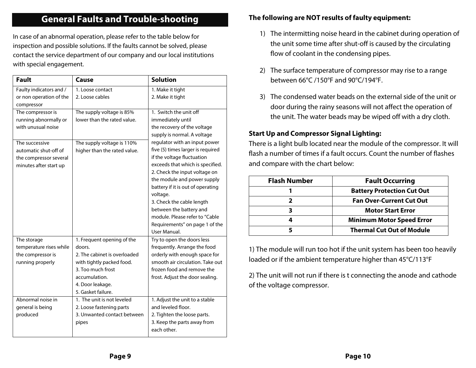### **General Faults and Trouble-shooting**

In case of an abnormal operation, please refer to the table below for inspection and possible solutions. If the faults cannot be solved, please contact the service department of our company and our local institutions with special engagement.

| <b>Fault</b>            | Cause                        | <b>Solution</b>                                                  |
|-------------------------|------------------------------|------------------------------------------------------------------|
| Faulty indicators and / | 1. Loose contact             | 1. Make it tight                                                 |
| or non operation of the | 2. Loose cables              | 2. Make it tight                                                 |
| compressor              |                              |                                                                  |
| The compressor is       | The supply voltage is 85%    | 1. Switch the unit off                                           |
| running abnormally or   | lower than the rated value.  | immediately until                                                |
| with unusual noise      |                              | the recovery of the voltage                                      |
|                         |                              | supply is normal. A voltage                                      |
| The successive          | The supply voltage is 110%   | regulator with an input power                                    |
| automatic shut-off of   | higher than the rated value. | five (5) times larger is required                                |
| the compressor several  |                              | if the voltage fluctuation                                       |
| minutes after start up  |                              | exceeds that which is specified.                                 |
|                         |                              | 2. Check the input voltage on                                    |
|                         |                              | the module and power supply<br>battery if it is out of operating |
|                         |                              | voltage.                                                         |
|                         |                              | 3. Check the cable length                                        |
|                         |                              | between the battery and                                          |
|                         |                              | module. Please refer to "Cable                                   |
|                         |                              | Requirements" on page 1 of the                                   |
|                         |                              | User Manual.                                                     |
| The storage             | 1. Frequent opening of the   | Try to open the doors less                                       |
| temperature rises while | doors.                       | frequently. Arrange the food                                     |
| the compressor is       | 2. The cabinet is overloaded | orderly with enough space for                                    |
| running properly        | with tightly packed food.    | smooth air circulation. Take out                                 |
|                         | 3. Too much frost            | frozen food and remove the                                       |
|                         | accumulation.                | frost. Adjust the door sealing.                                  |
|                         | 4. Door leakage.             |                                                                  |
|                         | 5. Gasket failure.           |                                                                  |
| Abnormal noise in       | 1. The unit is not leveled   | 1. Adjust the unit to a stable                                   |
| general is being        | 2. Loose fastening parts     | and leveled floor.                                               |
| produced                | 3. Unwanted contact between  | 2. Tighten the loose parts.                                      |
|                         | pipes                        | 3. Keep the parts away from                                      |
|                         |                              | each other.                                                      |

#### **The following are NOT results of faulty equipment:**

- 1) The intermitting noise heard in the cabinet during operation of the unit some time after shut-off is caused by the circulating flow of coolant in the condensing pipes.
- 2) The surface temperature of compressor may rise to a range between 66°C /150°F and 90°C/194°F.
- 3) The condensed water beads on the external side of the unit or door during the rainy seasons will not affect the operation of the unit. The water beads may be wiped off with a dry cloth.

#### **Start Up and Compressor Signal Lighting:**

There is a light bulb located near the module of the compressor. It will flash a number of times if a fault occurs. Count the number of flashes and compare with the chart below:

| <b>Flash Number</b> | <b>Fault Occurring</b>            |
|---------------------|-----------------------------------|
|                     | <b>Battery Protection Cut Out</b> |
|                     | <b>Fan Over-Current Cut Out</b>   |
|                     | <b>Motor Start Error</b>          |
|                     | <b>Minimum Motor Speed Error</b>  |
|                     | <b>Thermal Cut Out of Module</b>  |

1) The module will run too hot if the unit system has been too heavily loaded or if the ambient temperature higher than 45°C/113°F

2) The unit will not run if there is t connecting the anode and cathode of the voltage compressor.